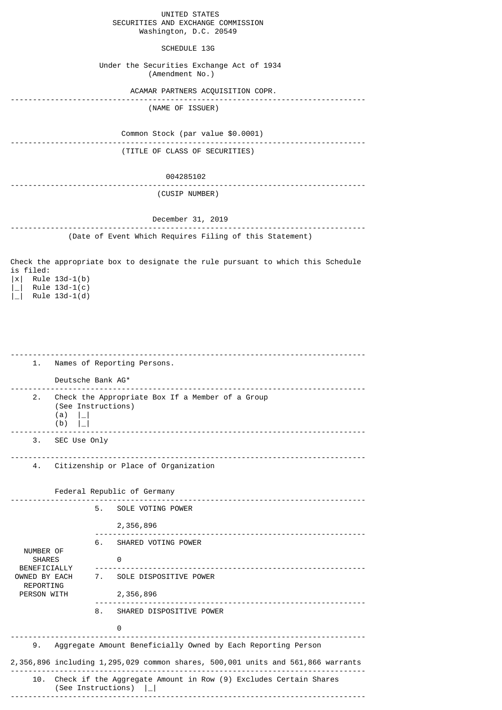|                        | UNITED STATES |                                    |
|------------------------|---------------|------------------------------------|
|                        |               | SECURITIES AND EXCHANGE COMMISSION |
| Washington, D.C. 20549 |               |                                    |

# SCHEDULE 13G

 Under the Securities Exchange Act of 1934 (Amendment No.)

ACAMAR PARTNERS ACQUISITION COPR.

|  |  |  | $1.1.117 - 0.7.17 - 0.0117 - 0.001$ |  |  |  |  |  |  |  |  |  |  |
|--|--|--|-------------------------------------|--|--|--|--|--|--|--|--|--|--|

(NAME OF ISSUER)

 Common Stock (par value \$0.0001) -------------------------------------------------------------------------------- (TITLE OF CLASS OF SECURITIES)

#### 004285102

## -------------------------------------------------------------------------------- (CUSIP NUMBER)

### December 31, 2019 -------------------------------------------------------------------------------- (Date of Event Which Requires Filing of this Statement)

Check the appropriate box to designate the rule pursuant to which this Schedule is filed: |x| Rule 13d-1(b)  $|$  Rule 13d-1(c)

 $|\_|$  Rule 13d-1(d)

| 1.                                         | Names of Reporting Persons.                                                                                           |    |                                                                                 |  |  |  |  |  |  |  |
|--------------------------------------------|-----------------------------------------------------------------------------------------------------------------------|----|---------------------------------------------------------------------------------|--|--|--|--|--|--|--|
|                                            | Deutsche Bank AG*                                                                                                     |    |                                                                                 |  |  |  |  |  |  |  |
| 2.                                         | Check the Appropriate Box If a Member of a Group<br>(See Instructions)<br>(a)<br>$\lfloor - \rfloor$<br>(b)<br>$\Box$ |    |                                                                                 |  |  |  |  |  |  |  |
| 3.                                         | SEC Use Only                                                                                                          |    |                                                                                 |  |  |  |  |  |  |  |
| 4.                                         |                                                                                                                       |    | Citizenship or Place of Organization                                            |  |  |  |  |  |  |  |
|                                            |                                                                                                                       |    | Federal Republic of Germany                                                     |  |  |  |  |  |  |  |
|                                            |                                                                                                                       | 5. | SOLE VOTING POWER                                                               |  |  |  |  |  |  |  |
|                                            |                                                                                                                       |    | 2,356,896                                                                       |  |  |  |  |  |  |  |
|                                            |                                                                                                                       | 6. | SHARED VOTING POWER                                                             |  |  |  |  |  |  |  |
| NUMBER OF<br><b>SHARES</b><br>BENEFICIALLY |                                                                                                                       |    | 0<br><u>.</u>                                                                   |  |  |  |  |  |  |  |
| OWNED BY EACH<br><b>REPORTING</b>          |                                                                                                                       |    | 7. SOLE DISPOSITIVE POWER                                                       |  |  |  |  |  |  |  |
| PERSON WITH                                |                                                                                                                       |    | 2,356,896                                                                       |  |  |  |  |  |  |  |
|                                            |                                                                                                                       | 8. | SHARED DISPOSITIVE POWER                                                        |  |  |  |  |  |  |  |
|                                            |                                                                                                                       |    | 0                                                                               |  |  |  |  |  |  |  |
| 9.                                         |                                                                                                                       |    | Aggregate Amount Beneficially Owned by Each Reporting Person                    |  |  |  |  |  |  |  |
|                                            |                                                                                                                       |    | 2,356,896 including 1,295,029 common shares, 500,001 units and 561,866 warrants |  |  |  |  |  |  |  |
|                                            | 10. Check if the Aggregate Amount in Row (9) Excludes Certain Shares<br>(See Instructions)                            |    |                                                                                 |  |  |  |  |  |  |  |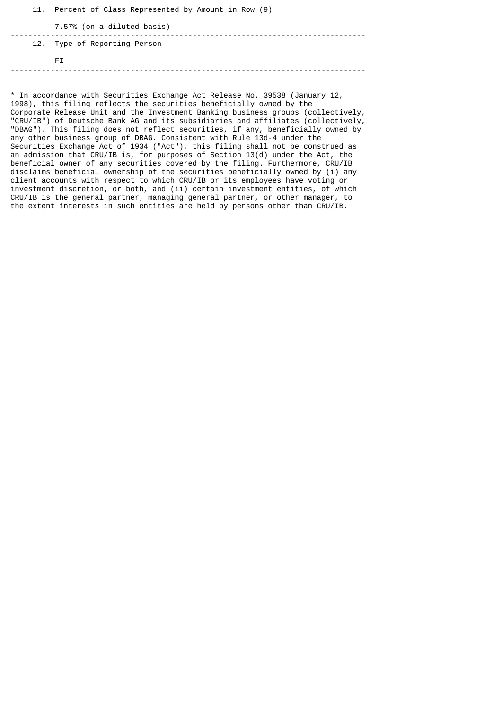|  | FT.                                                   |
|--|-------------------------------------------------------|
|  | 12. Type of Reporting Person                          |
|  | 7.57% (on a diluted basis)                            |
|  | 11. Percent of Class Represented by Amount in Row (9) |

\* In accordance with Securities Exchange Act Release No. 39538 (January 12, 1998), this filing reflects the securities beneficially owned by the Corporate Release Unit and the Investment Banking business groups (collectively, "CRU/IB") of Deutsche Bank AG and its subsidiaries and affiliates (collectively, "DBAG"). This filing does not reflect securities, if any, beneficially owned by any other business group of DBAG. Consistent with Rule 13d-4 under the Securities Exchange Act of 1934 ("Act"), this filing shall not be construed as an admission that CRU/IB is, for purposes of Section 13(d) under the Act, the beneficial owner of any securities covered by the filing. Furthermore, CRU/IB disclaims beneficial ownership of the securities beneficially owned by (i) any client accounts with respect to which CRU/IB or its employees have voting or investment discretion, or both, and (ii) certain investment entities, of which CRU/IB is the general partner, managing general partner, or other manager, to the extent interests in such entities are held by persons other than CRU/IB.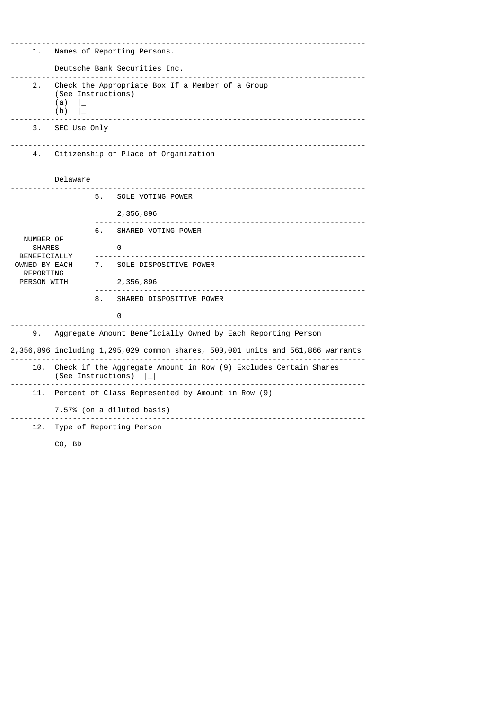|                               |                                                                                                               |    | ____________________________________                                            |  |  |  |  |  |  |  |
|-------------------------------|---------------------------------------------------------------------------------------------------------------|----|---------------------------------------------------------------------------------|--|--|--|--|--|--|--|
| 1.                            | Names of Reporting Persons.                                                                                   |    |                                                                                 |  |  |  |  |  |  |  |
|                               | Deutsche Bank Securities Inc.<br>------------------------------------                                         |    |                                                                                 |  |  |  |  |  |  |  |
| 2.                            | Check the Appropriate Box If a Member of a Group<br>(See Instructions)<br>(a)<br>$\vert \_$<br>(b)<br>$\perp$ |    |                                                                                 |  |  |  |  |  |  |  |
| З.                            | SEC Use Only                                                                                                  |    |                                                                                 |  |  |  |  |  |  |  |
| 4.                            | Citizenship or Place of Organization                                                                          |    |                                                                                 |  |  |  |  |  |  |  |
|                               | Delaware                                                                                                      |    |                                                                                 |  |  |  |  |  |  |  |
|                               |                                                                                                               | 5. | SOLE VOTING POWER                                                               |  |  |  |  |  |  |  |
|                               |                                                                                                               |    | 2,356,896                                                                       |  |  |  |  |  |  |  |
| NUMBER OF                     |                                                                                                               | 6. | SHARED VOTING POWER                                                             |  |  |  |  |  |  |  |
| <b>SHARES</b><br>BENEFICIALLY |                                                                                                               |    | 0                                                                               |  |  |  |  |  |  |  |
| OWNED BY EACH<br>REPORTING    |                                                                                                               |    | 7. SOLE DISPOSITIVE POWER                                                       |  |  |  |  |  |  |  |
| PERSON WITH                   |                                                                                                               |    | 2,356,896                                                                       |  |  |  |  |  |  |  |
|                               |                                                                                                               | 8. | SHARED DISPOSITIVE POWER                                                        |  |  |  |  |  |  |  |
|                               |                                                                                                               |    | 0                                                                               |  |  |  |  |  |  |  |
| 9.                            |                                                                                                               |    | Aggregate Amount Beneficially Owned by Each Reporting Person                    |  |  |  |  |  |  |  |
|                               |                                                                                                               |    | 2,356,896 including 1,295,029 common shares, 500,001 units and 561,866 warrants |  |  |  |  |  |  |  |
| 10.                           | Check if the Aggregate Amount in Row (9) Excludes Certain Shares<br>(See Instructions)                        |    |                                                                                 |  |  |  |  |  |  |  |
| 11.                           | Percent of Class Represented by Amount in Row (9)                                                             |    |                                                                                 |  |  |  |  |  |  |  |
|                               | 7.57% (on a diluted basis)                                                                                    |    |                                                                                 |  |  |  |  |  |  |  |
| 12.                           |                                                                                                               |    | Type of Reporting Person                                                        |  |  |  |  |  |  |  |
|                               | CO, BD                                                                                                        |    |                                                                                 |  |  |  |  |  |  |  |
|                               |                                                                                                               |    |                                                                                 |  |  |  |  |  |  |  |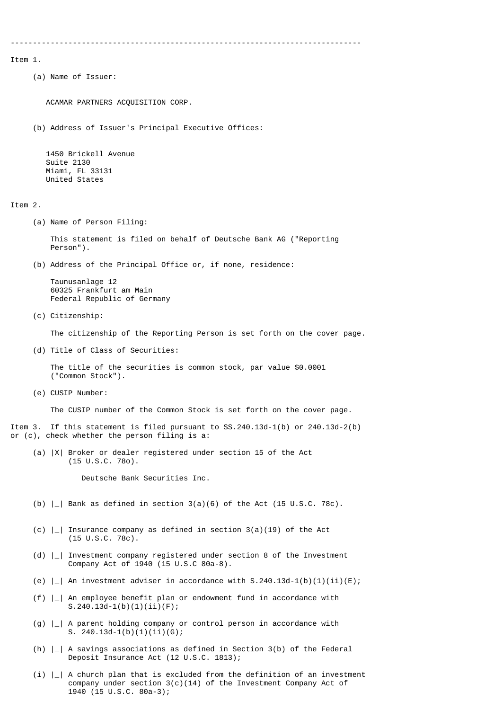-------------------------------------------------------------------------------

Item 1.

(a) Name of Issuer:

ACAMAR PARTNERS ACQUISITION CORP.

(b) Address of Issuer's Principal Executive Offices:

 1450 Brickell Avenue Suite 2130 Miami, FL 33131 United States

Item 2.

(a) Name of Person Filing:

 This statement is filed on behalf of Deutsche Bank AG ("Reporting Person").

(b) Address of the Principal Office or, if none, residence:

 Taunusanlage 12 60325 Frankfurt am Main Federal Republic of Germany

(c) Citizenship:

The citizenship of the Reporting Person is set forth on the cover page.

(d) Title of Class of Securities:

 The title of the securities is common stock, par value \$0.0001 ("Common Stock").

(e) CUSIP Number:

The CUSIP number of the Common Stock is set forth on the cover page.

Item 3. If this statement is filed pursuant to SS.240.13d-1(b) or 240.13d-2(b) or (c), check whether the person filing is a:

 (a) |X| Broker or dealer registered under section 15 of the Act (15 U.S.C. 78o).

Deutsche Bank Securities Inc.

(b)  $\vert$  | Bank as defined in section 3(a)(6) of the Act (15 U.S.C. 78c).

- (c)  $\vert \_ \vert$  Insurance company as defined in section 3(a)(19) of the Act (15 U.S.C. 78c).
- (d) |\_| Investment company registered under section 8 of the Investment Company Act of 1940 (15 U.S.C 80a-8).
- (e)  $|$  | An investment adviser in accordance with S.240.13d-1(b)(1)(ii)(E);
- (f) |\_| An employee benefit plan or endowment fund in accordance with  $S.240.13d-1(b)(1)(ii)(F);$
- (g) |\_| A parent holding company or control person in accordance with S. 240.13d-1(b)(1)(ii)(G);
- (h)  $|-|$  A savings associations as defined in Section 3(b) of the Federal Deposit Insurance Act (12 U.S.C. 1813);
- $(i)$   $\vert$   $\vert$  A church plan that is excluded from the definition of an investment company under section  $3(c)(14)$  of the Investment Company Act of 1940 (15 U.S.C. 80a-3);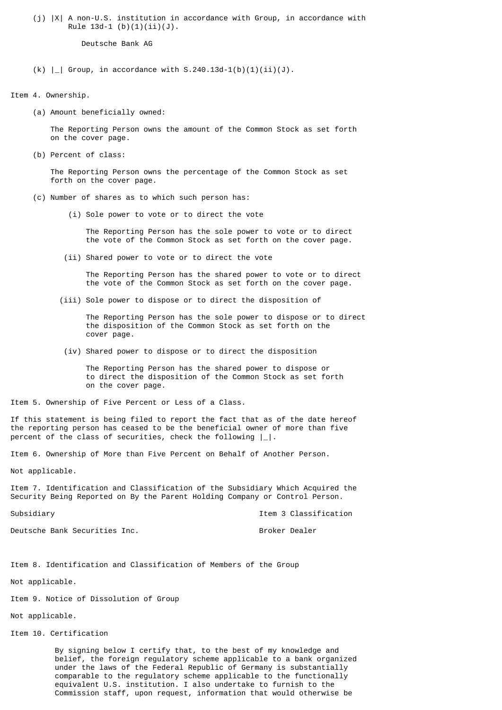(j) |X| A non-U.S. institution in accordance with Group, in accordance with Rule  $13d-1$  (b)(1)(ii)(J).

Deutsche Bank AG

 $(k)$   $|$   $|$  Group, in accordance with S.240.13d-1(b)(1)(ii)(J).

Item 4. Ownership.

(a) Amount beneficially owned:

 The Reporting Person owns the amount of the Common Stock as set forth on the cover page.

(b) Percent of class:

 The Reporting Person owns the percentage of the Common Stock as set forth on the cover page.

- (c) Number of shares as to which such person has:
	- (i) Sole power to vote or to direct the vote

 The Reporting Person has the sole power to vote or to direct the vote of the Common Stock as set forth on the cover page.

(ii) Shared power to vote or to direct the vote

 The Reporting Person has the shared power to vote or to direct the vote of the Common Stock as set forth on the cover page.

(iii) Sole power to dispose or to direct the disposition of

 The Reporting Person has the sole power to dispose or to direct the disposition of the Common Stock as set forth on the cover page.

(iv) Shared power to dispose or to direct the disposition

 The Reporting Person has the shared power to dispose or to direct the disposition of the Common Stock as set forth on the cover page.

Item 5. Ownership of Five Percent or Less of a Class.

If this statement is being filed to report the fact that as of the date hereof the reporting person has ceased to be the beneficial owner of more than five percent of the class of securities, check the following  $|\_|$ .

Item 6. Ownership of More than Five Percent on Behalf of Another Person.

Not applicable.

Item 7. Identification and Classification of the Subsidiary Which Acquired the Security Being Reported on By the Parent Holding Company or Control Person.

Subsidiary Item 3 Classification

Deutsche Bank Securities Inc. Broker Dealer

Item 8. Identification and Classification of Members of the Group

Not applicable.

Item 9. Notice of Dissolution of Group

Not applicable.

Item 10. Certification

 By signing below I certify that, to the best of my knowledge and belief, the foreign regulatory scheme applicable to a bank organized under the laws of the Federal Republic of Germany is substantially comparable to the regulatory scheme applicable to the functionally equivalent U.S. institution. I also undertake to furnish to the Commission staff, upon request, information that would otherwise be